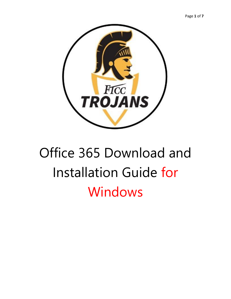



# Office 365 Download and Installation Guide for Windows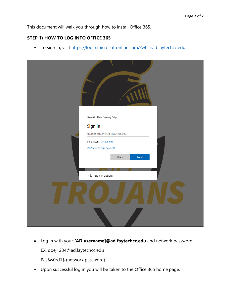This document will walk you through how to install Office 365.

# **STEP 1) HOW TO LOG INTO OFFICE 365**

• To sign in, visit<https://login.microsoftonline.com/?whr=ad.faytechcc.edu>



- Log in with your **[AD username]@ad.faytechcc.edu** and network password. EX: doej1234@ad.faytechcc.edu Pas\$w0rd1\$ (network password)
- Upon successful log in you will be taken to the Office 365 home page.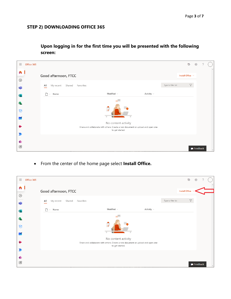## **STEP 2) DOWNLOADING OFFICE 365**

**Upon logging in for the first time you will be presented with the following screen:**

| 曲                  | Office 365 |                           |                     |                                                                                 |                                        |                 |                     | $\vec{v}$             | భ                       |  |
|--------------------|------------|---------------------------|---------------------|---------------------------------------------------------------------------------|----------------------------------------|-----------------|---------------------|-----------------------|-------------------------|--|
| n<br>$\bigoplus$   |            | Good afternoon, FTCC      |                     |                                                                                 |                                        |                 |                     | Install Office $\vee$ |                         |  |
| 啪                  |            | All<br>My recent          | Shared<br>Favorites |                                                                                 |                                        |                 | Type to filter list | $\boldsymbol{\nabla}$ |                         |  |
| $S^*$              |            | Name<br>n<br>$\checkmark$ |                     |                                                                                 | Modified $\sim$                        | Activity $\sim$ |                     |                       |                         |  |
| P.<br>$\heartsuit$ |            |                           |                     |                                                                                 |                                        |                 |                     |                       |                         |  |
| $\sim$             |            |                           |                     |                                                                                 |                                        |                 |                     |                       |                         |  |
|                    |            |                           |                     | Share and collaborate with others. Create a new document or upload and open one | No content activity<br>to get started. |                 |                     |                       |                         |  |
|                    |            |                           |                     |                                                                                 |                                        |                 |                     |                       |                         |  |
| $\mathbb B$        |            |                           |                     |                                                                                 |                                        |                 |                     |                       | $\blacksquare$ Feedback |  |

• From the center of the home page select **Install Office.**

| <b>BB</b>               | Office 365 |                            |           |                                        |                                                                                 |                     | $\vec{v}$                  | భ                       | ◠ |  |
|-------------------------|------------|----------------------------|-----------|----------------------------------------|---------------------------------------------------------------------------------|---------------------|----------------------------|-------------------------|---|--|
| A                       |            | Good afternoon, FTCC       |           |                                        |                                                                                 |                     | Install Office $\sim$      |                         |   |  |
| $\bigoplus$<br>市        |            | Shared<br>All<br>My recent | Favorites |                                        |                                                                                 | Type to filter list | $\boldsymbol{\mathcal{T}}$ |                         |   |  |
| $\overline{\mathbf{s}}$ |            | Name<br>$\checkmark$       |           | Modified $\scriptstyle\mathtt{\sim}$   | Activity $\sim$                                                                 |                     |                            |                         |   |  |
| P.<br>$\heartsuit$      |            |                            |           |                                        |                                                                                 |                     |                            |                         |   |  |
| $\sim$                  |            |                            |           |                                        |                                                                                 |                     |                            |                         |   |  |
|                         |            |                            |           | No content activity<br>to get started. | Share and collaborate with others. Create a new document or upload and open one |                     |                            |                         |   |  |
|                         |            |                            |           |                                        |                                                                                 |                     |                            |                         |   |  |
| ♦<br>$\mathbb B$        |            |                            |           |                                        |                                                                                 |                     |                            | $\blacksquare$ Feedback |   |  |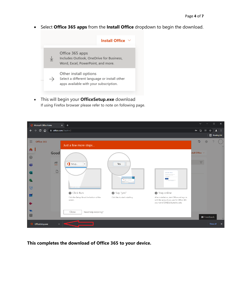• Select **Office 365 apps** from the **Install Office** dropdown to begin the download.



• This will begin your **OfficeSetup.exe** download If using Firefox browser please refer to note on following page.

| Microsoft Office Home<br>$x +$                                                                                                                                                                                                                 | $\Box$<br>$\times$<br>$\vee$                             |
|------------------------------------------------------------------------------------------------------------------------------------------------------------------------------------------------------------------------------------------------|----------------------------------------------------------|
| $\mathbf{C}$<br>⇧<br>fil office.com/?auth=2<br>$\rightarrow$<br>←                                                                                                                                                                              | or $\mathbb{C}$<br>密<br>2<br>☆<br>- :                    |
|                                                                                                                                                                                                                                                | <b>图 Reading list</b>                                    |
| 田.<br>Office 365<br>Just a few more steps                                                                                                                                                                                                      | $\overline{\mathbb{Q}}$<br>6<br>$\overline{\phantom{a}}$ |
| A.<br>Good<br>$\bigoplus$                                                                                                                                                                                                                      | stall Office $\vee$                                      |
| All<br>Setup<br>Yes<br>$\overline{\phantom{a}}$<br>喻<br>$\Box$                                                                                                                                                                                 | $\boldsymbol{\nabla}$                                    |
| Activate Office<br>adam Oliv, eta de malador<br>黾<br>$\sigma_{\frac{m}{m_{\pi}}\left(1\right)}$                                                                                                                                                |                                                          |
| $\overline{\heartsuit}$<br><b>G</b> bigilling (SLaw)                                                                                                                                                                                           |                                                          |
| Say "yes"<br><b>O</b> Click Run<br>Stay online<br>$\sim$<br>After installation, start Office and sign in<br>Click the Setup file at the bottom of the<br>Click Yes to start installing.<br>with the account you use for Office 365:<br>screen. |                                                          |
| yourname1234@ad.faytechcc.edu.                                                                                                                                                                                                                 |                                                          |
| Close<br>Need help installing?<br>$\mathbb{B}$                                                                                                                                                                                                 | $\blacksquare$ Feedback                                  |
| OfficeSetup.exe<br>$\hat{\phantom{a}}$                                                                                                                                                                                                         | Show all<br>$\boldsymbol{\mathsf{x}}$                    |

**This completes the download of Office 365 to your device.**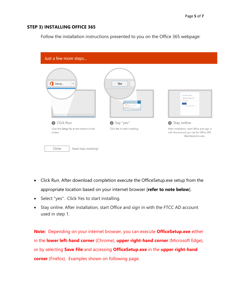## **STEP 3) INSTALLING OFFICE 365**

Follow the installation instructions presented to you on the Office 365 webpage:

| Just a few more steps                                |                                                             |                                                                                                                                                      |
|------------------------------------------------------|-------------------------------------------------------------|------------------------------------------------------------------------------------------------------------------------------------------------------|
| ก<br>Setup<br>▼<br><b>Q</b> bigiliava 28.au          | Yes<br>$\alpha_{\overline{\mathrm{m}}}$<br><b>Transport</b> | Activate Office<br>To actually Offices and in the result askies or that's<br>particled with your Office subscription.<br><b>ALCOHOL: Microchange</b> |
| <b>O</b> Click Run                                   | Say "yes"                                                   | Stay online                                                                                                                                          |
| Click the Setup file at the bottom of the<br>screen. | Click Yes to start installing.                              | After installation, start Office and sign in<br>with the account you use for Office 365:<br>@ad.faytechcc.edu.                                       |
| Close<br>Need help installing?                       |                                                             |                                                                                                                                                      |

- Click Run. After download completion execute the OfficeSetup.exe setup from the appropriate location based on your internet browser [**refer to note below**].
- Select "yes". Click Yes to start installing.
- Stay online. After installation, start Office and sign in with the FTCC AD account used in step 1.

**Note:** Depending on your internet browser, you can execute **OfficeSetup.exe** either in the **lower left-hand corner** (Chrome), **upper right-hand corner** (Microsoft Edge), or by selecting **Save File** and accessing **OfficeSetup.exe** in the **upper right-hand corner** (Firefox). Examples shown on following page.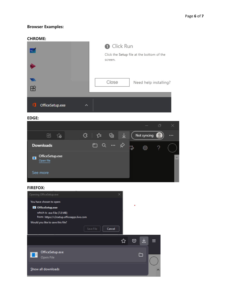## **Browser Examples:**

#### **CHROME:**

|                                | <b>O</b> Click Run<br>Click the Setup file at the bottom of the<br>screen. |
|--------------------------------|----------------------------------------------------------------------------|
|                                | Close<br>Need help installing?                                             |
| Æ<br>о<br>OfficeSetup.exe<br>ㅅ |                                                                            |
|                                |                                                                            |

#### **EDGE:**



### **FIREFOX:**